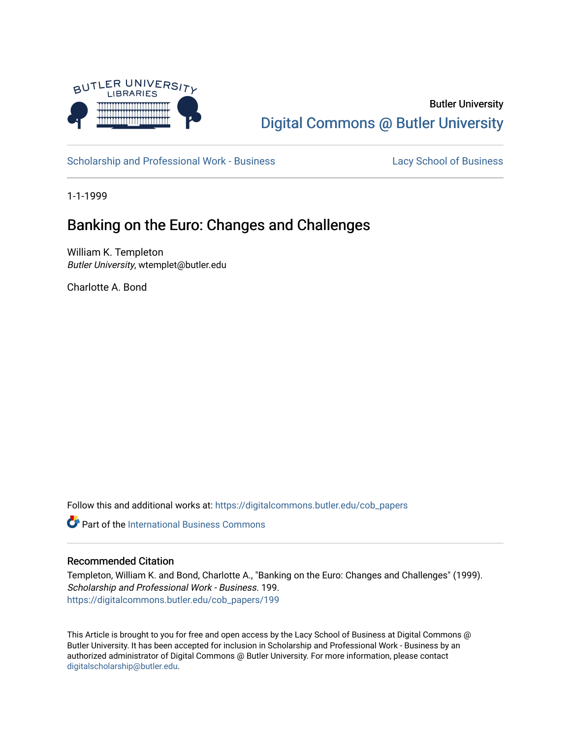

# Butler University [Digital Commons @ Butler University](https://digitalcommons.butler.edu/)

[Scholarship and Professional Work - Business](https://digitalcommons.butler.edu/cob_papers) [Lacy School of Business](https://digitalcommons.butler.edu/cba) Lacy School of Business

1-1-1999

## Banking on the Euro: Changes and Challenges

William K. Templeton Butler University, wtemplet@butler.edu

Charlotte A. Bond

Follow this and additional works at: [https://digitalcommons.butler.edu/cob\\_papers](https://digitalcommons.butler.edu/cob_papers?utm_source=digitalcommons.butler.edu%2Fcob_papers%2F199&utm_medium=PDF&utm_campaign=PDFCoverPages) 

**C** Part of the International Business Commons

### Recommended Citation

Templeton, William K. and Bond, Charlotte A., "Banking on the Euro: Changes and Challenges" (1999). Scholarship and Professional Work - Business. 199. [https://digitalcommons.butler.edu/cob\\_papers/199](https://digitalcommons.butler.edu/cob_papers/199?utm_source=digitalcommons.butler.edu%2Fcob_papers%2F199&utm_medium=PDF&utm_campaign=PDFCoverPages) 

This Article is brought to you for free and open access by the Lacy School of Business at Digital Commons @ Butler University. It has been accepted for inclusion in Scholarship and Professional Work - Business by an authorized administrator of Digital Commons @ Butler University. For more information, please contact [digitalscholarship@butler.edu.](mailto:digitalscholarship@butler.edu)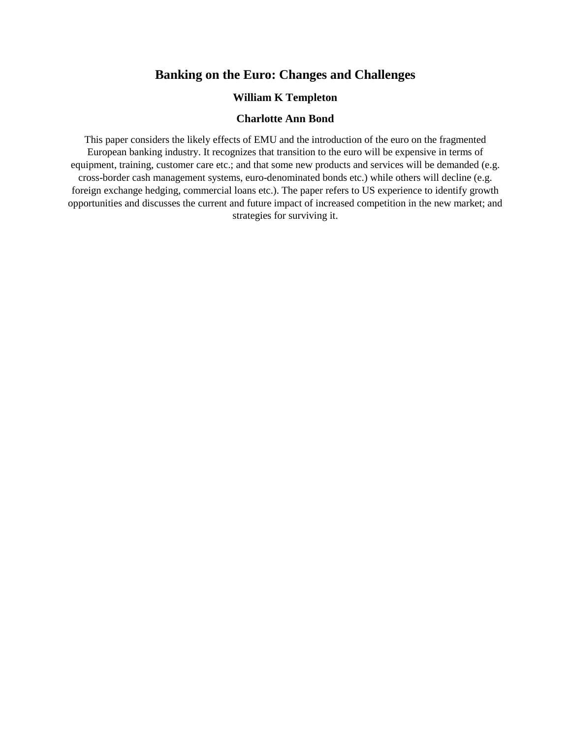## **Banking on the Euro: Changes and Challenges**

## **William K Templeton**

#### **Charlotte Ann Bond**

This paper considers the likely effects of EMU and the introduction of the euro on the fragmented European banking industry. It recognizes that transition to the euro will be expensive in terms of equipment, training, customer care etc.; and that some new products and services will be demanded (e.g. cross-border cash management systems, euro-denominated bonds etc.) while others will decline (e.g. foreign exchange hedging, commercial loans etc.). The paper refers to US experience to identify growth opportunities and discusses the current and future impact of increased competition in the new market; and strategies for surviving it.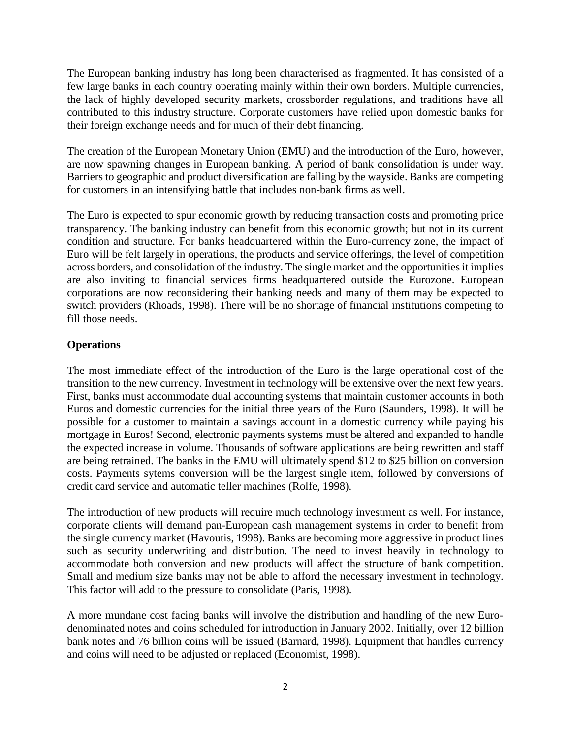The European banking industry has long been characterised as fragmented. It has consisted of a few large banks in each country operating mainly within their own borders. Multiple currencies, the lack of highly developed security markets, crossborder regulations, and traditions have all contributed to this industry structure. Corporate customers have relied upon domestic banks for their foreign exchange needs and for much of their debt financing.

The creation of the European Monetary Union (EMU) and the introduction of the Euro, however, are now spawning changes in European banking. A period of bank consolidation is under way. Barriers to geographic and product diversification are falling by the wayside. Banks are competing for customers in an intensifying battle that includes non-bank firms as well.

The Euro is expected to spur economic growth by reducing transaction costs and promoting price transparency. The banking industry can benefit from this economic growth; but not in its current condition and structure. For banks headquartered within the Euro-currency zone, the impact of Euro will be felt largely in operations, the products and service offerings, the level of competition across borders, and consolidation of the industry. The single market and the opportunities it implies are also inviting to financial services firms headquartered outside the Eurozone. European corporations are now reconsidering their banking needs and many of them may be expected to switch providers (Rhoads, 1998). There will be no shortage of financial institutions competing to fill those needs.

## **Operations**

The most immediate effect of the introduction of the Euro is the large operational cost of the transition to the new currency. Investment in technology will be extensive over the next few years. First, banks must accommodate dual accounting systems that maintain customer accounts in both Euros and domestic currencies for the initial three years of the Euro (Saunders, 1998). It will be possible for a customer to maintain a savings account in a domestic currency while paying his mortgage in Euros! Second, electronic payments systems must be altered and expanded to handle the expected increase in volume. Thousands of software applications are being rewritten and staff are being retrained. The banks in the EMU will ultimately spend \$12 to \$25 billion on conversion costs. Payments sytems conversion will be the largest single item, followed by conversions of credit card service and automatic teller machines (Rolfe, 1998).

The introduction of new products will require much technology investment as well. For instance, corporate clients will demand pan-European cash management systems in order to benefit from the single currency market (Havoutis, 1998). Banks are becoming more aggressive in product lines such as security underwriting and distribution. The need to invest heavily in technology to accommodate both conversion and new products will affect the structure of bank competition. Small and medium size banks may not be able to afford the necessary investment in technology. This factor will add to the pressure to consolidate (Paris, 1998).

A more mundane cost facing banks will involve the distribution and handling of the new Eurodenominated notes and coins scheduled for introduction in January 2002. Initially, over 12 billion bank notes and 76 billion coins will be issued (Barnard, 1998). Equipment that handles currency and coins will need to be adjusted or replaced (Economist, 1998).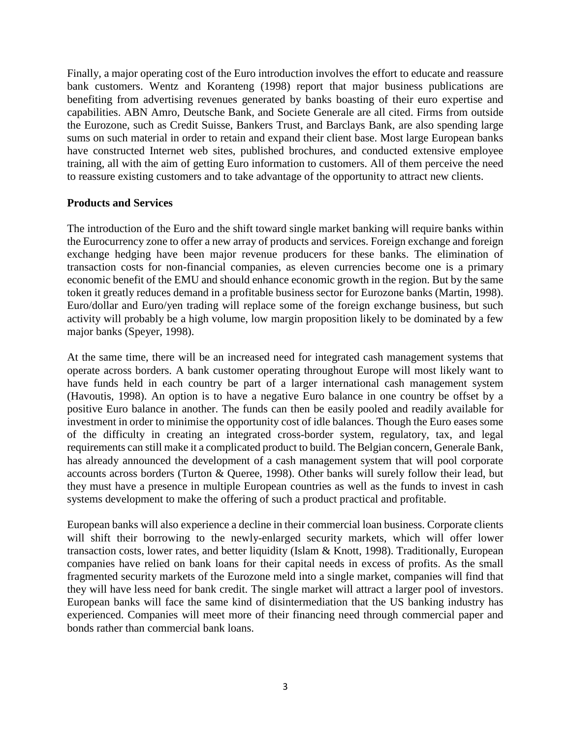Finally, a major operating cost of the Euro introduction involves the effort to educate and reassure bank customers. Wentz and Koranteng (1998) report that major business publications are benefiting from advertising revenues generated by banks boasting of their euro expertise and capabilities. ABN Amro, Deutsche Bank, and Societe Generale are all cited. Firms from outside the Eurozone, such as Credit Suisse, Bankers Trust, and Barclays Bank, are also spending large sums on such material in order to retain and expand their client base. Most large European banks have constructed Internet web sites, published brochures, and conducted extensive employee training, all with the aim of getting Euro information to customers. All of them perceive the need to reassure existing customers and to take advantage of the opportunity to attract new clients.

## **Products and Services**

The introduction of the Euro and the shift toward single market banking will require banks within the Eurocurrency zone to offer a new array of products and services. Foreign exchange and foreign exchange hedging have been major revenue producers for these banks. The elimination of transaction costs for non-financial companies, as eleven currencies become one is a primary economic benefit of the EMU and should enhance economic growth in the region. But by the same token it greatly reduces demand in a profitable business sector for Eurozone banks (Martin, 1998). Euro/dollar and Euro/yen trading will replace some of the foreign exchange business, but such activity will probably be a high volume, low margin proposition likely to be dominated by a few major banks (Speyer, 1998).

At the same time, there will be an increased need for integrated cash management systems that operate across borders. A bank customer operating throughout Europe will most likely want to have funds held in each country be part of a larger international cash management system (Havoutis, 1998). An option is to have a negative Euro balance in one country be offset by a positive Euro balance in another. The funds can then be easily pooled and readily available for investment in order to minimise the opportunity cost of idle balances. Though the Euro eases some of the difficulty in creating an integrated cross-border system, regulatory, tax, and legal requirements can still make it a complicated product to build. The Belgian concern, Generale Bank, has already announced the development of a cash management system that will pool corporate accounts across borders (Turton & Queree, 1998). Other banks will surely follow their lead, but they must have a presence in multiple European countries as well as the funds to invest in cash systems development to make the offering of such a product practical and profitable.

European banks will also experience a decline in their commercial loan business. Corporate clients will shift their borrowing to the newly-enlarged security markets, which will offer lower transaction costs, lower rates, and better liquidity (Islam & Knott, 1998). Traditionally, European companies have relied on bank loans for their capital needs in excess of profits. As the small fragmented security markets of the Eurozone meld into a single market, companies will find that they will have less need for bank credit. The single market will attract a larger pool of investors. European banks will face the same kind of disintermediation that the US banking industry has experienced. Companies will meet more of their financing need through commercial paper and bonds rather than commercial bank loans.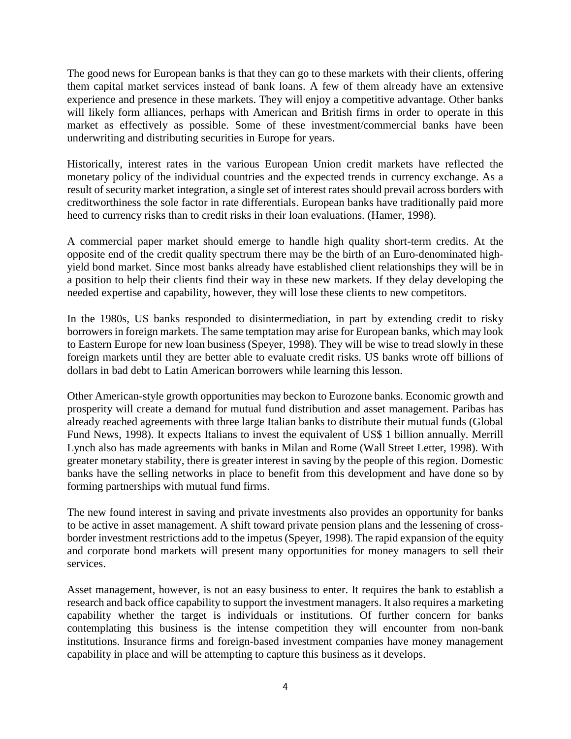The good news for European banks is that they can go to these markets with their clients, offering them capital market services instead of bank loans. A few of them already have an extensive experience and presence in these markets. They will enjoy a competitive advantage. Other banks will likely form alliances, perhaps with American and British firms in order to operate in this market as effectively as possible. Some of these investment/commercial banks have been underwriting and distributing securities in Europe for years.

Historically, interest rates in the various European Union credit markets have reflected the monetary policy of the individual countries and the expected trends in currency exchange. As a result of security market integration, a single set of interest rates should prevail across borders with creditworthiness the sole factor in rate differentials. European banks have traditionally paid more heed to currency risks than to credit risks in their loan evaluations. (Hamer, 1998).

A commercial paper market should emerge to handle high quality short-term credits. At the opposite end of the credit quality spectrum there may be the birth of an Euro-denominated highyield bond market. Since most banks already have established client relationships they will be in a position to help their clients find their way in these new markets. If they delay developing the needed expertise and capability, however, they will lose these clients to new competitors.

In the 1980s, US banks responded to disintermediation, in part by extending credit to risky borrowers in foreign markets. The same temptation may arise for European banks, which may look to Eastern Europe for new loan business (Speyer, 1998). They will be wise to tread slowly in these foreign markets until they are better able to evaluate credit risks. US banks wrote off billions of dollars in bad debt to Latin American borrowers while learning this lesson.

Other American-style growth opportunities may beckon to Eurozone banks. Economic growth and prosperity will create a demand for mutual fund distribution and asset management. Paribas has already reached agreements with three large Italian banks to distribute their mutual funds (Global Fund News, 1998). It expects Italians to invest the equivalent of US\$ 1 billion annually. Merrill Lynch also has made agreements with banks in Milan and Rome (Wall Street Letter, 1998). With greater monetary stability, there is greater interest in saving by the people of this region. Domestic banks have the selling networks in place to benefit from this development and have done so by forming partnerships with mutual fund firms.

The new found interest in saving and private investments also provides an opportunity for banks to be active in asset management. A shift toward private pension plans and the lessening of crossborder investment restrictions add to the impetus (Speyer, 1998). The rapid expansion of the equity and corporate bond markets will present many opportunities for money managers to sell their services.

Asset management, however, is not an easy business to enter. It requires the bank to establish a research and back office capability to support the investment managers. It also requires a marketing capability whether the target is individuals or institutions. Of further concern for banks contemplating this business is the intense competition they will encounter from non-bank institutions. Insurance firms and foreign-based investment companies have money management capability in place and will be attempting to capture this business as it develops.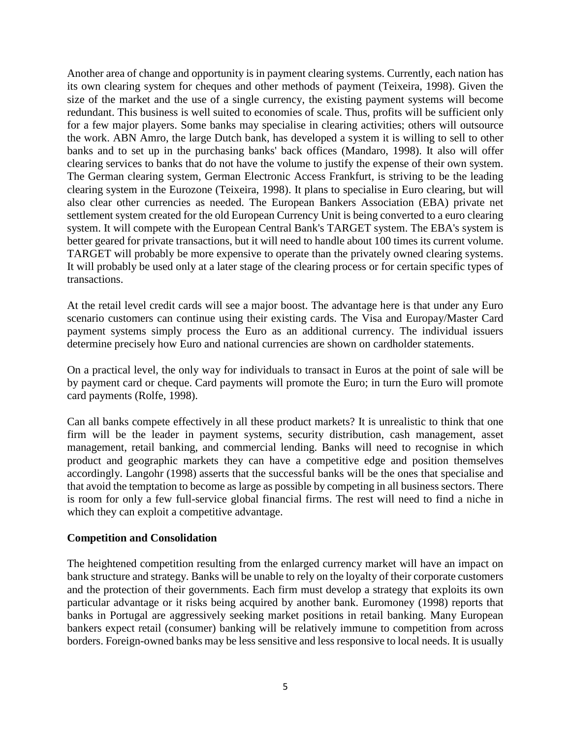Another area of change and opportunity is in payment clearing systems. Currently, each nation has its own clearing system for cheques and other methods of payment (Teixeira, 1998). Given the size of the market and the use of a single currency, the existing payment systems will become redundant. This business is well suited to economies of scale. Thus, profits will be sufficient only for a few major players. Some banks may specialise in clearing activities; others will outsource the work. ABN Amro, the large Dutch bank, has developed a system it is willing to sell to other banks and to set up in the purchasing banks' back offices (Mandaro, 1998). It also will offer clearing services to banks that do not have the volume to justify the expense of their own system. The German clearing system, German Electronic Access Frankfurt, is striving to be the leading clearing system in the Eurozone (Teixeira, 1998). It plans to specialise in Euro clearing, but will also clear other currencies as needed. The European Bankers Association (EBA) private net settlement system created for the old European Currency Unit is being converted to a euro clearing system. It will compete with the European Central Bank's TARGET system. The EBA's system is better geared for private transactions, but it will need to handle about 100 times its current volume. TARGET will probably be more expensive to operate than the privately owned clearing systems. It will probably be used only at a later stage of the clearing process or for certain specific types of transactions.

At the retail level credit cards will see a major boost. The advantage here is that under any Euro scenario customers can continue using their existing cards. The Visa and Europay/Master Card payment systems simply process the Euro as an additional currency. The individual issuers determine precisely how Euro and national currencies are shown on cardholder statements.

On a practical level, the only way for individuals to transact in Euros at the point of sale will be by payment card or cheque. Card payments will promote the Euro; in turn the Euro will promote card payments (Rolfe, 1998).

Can all banks compete effectively in all these product markets? It is unrealistic to think that one firm will be the leader in payment systems, security distribution, cash management, asset management, retail banking, and commercial lending. Banks will need to recognise in which product and geographic markets they can have a competitive edge and position themselves accordingly. Langohr (1998) asserts that the successful banks will be the ones that specialise and that avoid the temptation to become as large as possible by competing in all business sectors. There is room for only a few full-service global financial firms. The rest will need to find a niche in which they can exploit a competitive advantage.

## **Competition and Consolidation**

The heightened competition resulting from the enlarged currency market will have an impact on bank structure and strategy. Banks will be unable to rely on the loyalty of their corporate customers and the protection of their governments. Each firm must develop a strategy that exploits its own particular advantage or it risks being acquired by another bank. Euromoney (1998) reports that banks in Portugal are aggressively seeking market positions in retail banking. Many European bankers expect retail (consumer) banking will be relatively immune to competition from across borders. Foreign-owned banks may be less sensitive and less responsive to local needs. It is usually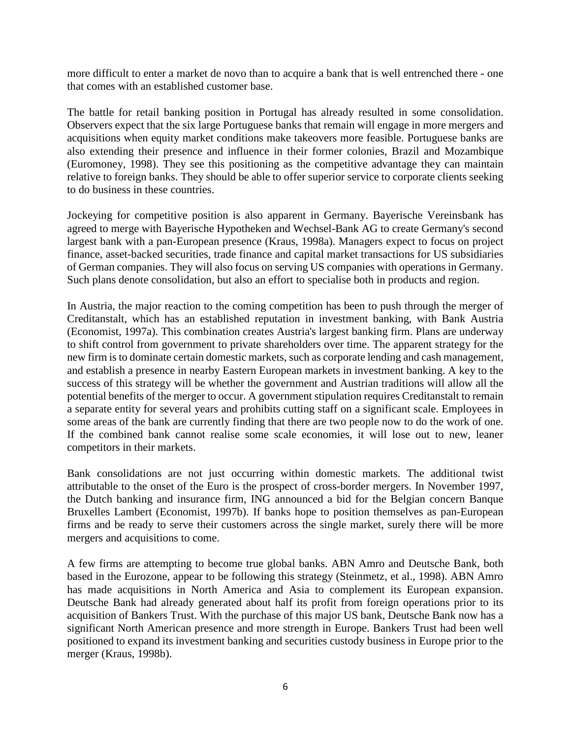more difficult to enter a market de novo than to acquire a bank that is well entrenched there - one that comes with an established customer base.

The battle for retail banking position in Portugal has already resulted in some consolidation. Observers expect that the six large Portuguese banks that remain will engage in more mergers and acquisitions when equity market conditions make takeovers more feasible. Portuguese banks are also extending their presence and influence in their former colonies, Brazil and Mozambique (Euromoney, 1998). They see this positioning as the competitive advantage they can maintain relative to foreign banks. They should be able to offer superior service to corporate clients seeking to do business in these countries.

Jockeying for competitive position is also apparent in Germany. Bayerische Vereinsbank has agreed to merge with Bayerische Hypotheken and Wechsel-Bank AG to create Germany's second largest bank with a pan-European presence (Kraus, 1998a). Managers expect to focus on project finance, asset-backed securities, trade finance and capital market transactions for US subsidiaries of German companies. They will also focus on serving US companies with operations in Germany. Such plans denote consolidation, but also an effort to specialise both in products and region.

In Austria, the major reaction to the coming competition has been to push through the merger of Creditanstalt, which has an established reputation in investment banking, with Bank Austria (Economist, 1997a). This combination creates Austria's largest banking firm. Plans are underway to shift control from government to private shareholders over time. The apparent strategy for the new firm is to dominate certain domestic markets, such as corporate lending and cash management, and establish a presence in nearby Eastern European markets in investment banking. A key to the success of this strategy will be whether the government and Austrian traditions will allow all the potential benefits of the merger to occur. A government stipulation requires Creditanstalt to remain a separate entity for several years and prohibits cutting staff on a significant scale. Employees in some areas of the bank are currently finding that there are two people now to do the work of one. If the combined bank cannot realise some scale economies, it will lose out to new, leaner competitors in their markets.

Bank consolidations are not just occurring within domestic markets. The additional twist attributable to the onset of the Euro is the prospect of cross-border mergers. In November 1997, the Dutch banking and insurance firm, ING announced a bid for the Belgian concern Banque Bruxelles Lambert (Economist, 1997b). If banks hope to position themselves as pan-European firms and be ready to serve their customers across the single market, surely there will be more mergers and acquisitions to come.

A few firms are attempting to become true global banks. ABN Amro and Deutsche Bank, both based in the Eurozone, appear to be following this strategy (Steinmetz, et al., 1998). ABN Amro has made acquisitions in North America and Asia to complement its European expansion. Deutsche Bank had already generated about half its profit from foreign operations prior to its acquisition of Bankers Trust. With the purchase of this major US bank, Deutsche Bank now has a significant North American presence and more strength in Europe. Bankers Trust had been well positioned to expand its investment banking and securities custody business in Europe prior to the merger (Kraus, 1998b).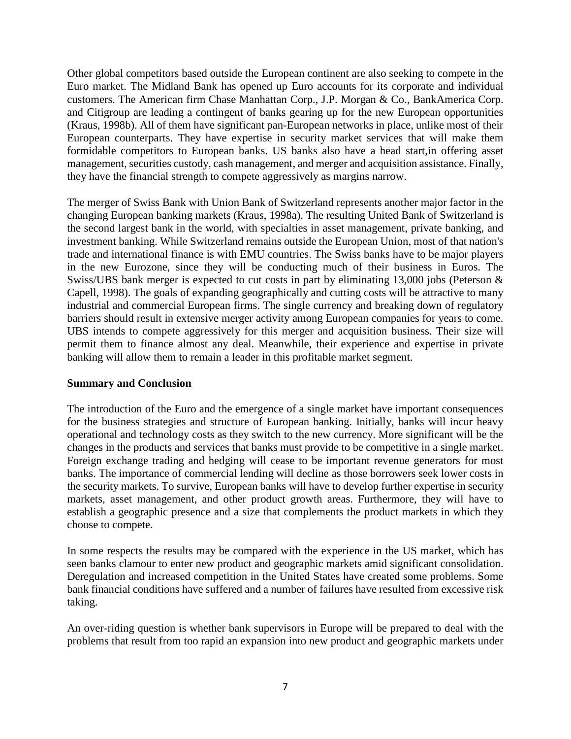Other global competitors based outside the European continent are also seeking to compete in the Euro market. The Midland Bank has opened up Euro accounts for its corporate and individual customers. The American firm Chase Manhattan Corp., J.P. Morgan & Co., BankAmerica Corp. and Citigroup are leading a contingent of banks gearing up for the new European opportunities (Kraus, 1998b). All of them have significant pan-European networks in place, unlike most of their European counterparts. They have expertise in security market services that will make them formidable competitors to European banks. US banks also have a head start,in offering asset management, securities custody, cash management, and merger and acquisition assistance. Finally, they have the financial strength to compete aggressively as margins narrow.

The merger of Swiss Bank with Union Bank of Switzerland represents another major factor in the changing European banking markets (Kraus, 1998a). The resulting United Bank of Switzerland is the second largest bank in the world, with specialties in asset management, private banking, and investment banking. While Switzerland remains outside the European Union, most of that nation's trade and international finance is with EMU countries. The Swiss banks have to be major players in the new Eurozone, since they will be conducting much of their business in Euros. The Swiss/UBS bank merger is expected to cut costs in part by eliminating 13,000 jobs (Peterson & Capell, 1998). The goals of expanding geographically and cutting costs will be attractive to many industrial and commercial European firms. The single currency and breaking down of regulatory barriers should result in extensive merger activity among European companies for years to come. UBS intends to compete aggressively for this merger and acquisition business. Their size will permit them to finance almost any deal. Meanwhile, their experience and expertise in private banking will allow them to remain a leader in this profitable market segment.

## **Summary and Conclusion**

The introduction of the Euro and the emergence of a single market have important consequences for the business strategies and structure of European banking. Initially, banks will incur heavy operational and technology costs as they switch to the new currency. More significant will be the changes in the products and services that banks must provide to be competitive in a single market. Foreign exchange trading and hedging will cease to be important revenue generators for most banks. The importance of commercial lending will decline as those borrowers seek lower costs in the security markets. To survive, European banks will have to develop further expertise in security markets, asset management, and other product growth areas. Furthermore, they will have to establish a geographic presence and a size that complements the product markets in which they choose to compete.

In some respects the results may be compared with the experience in the US market, which has seen banks clamour to enter new product and geographic markets amid significant consolidation. Deregulation and increased competition in the United States have created some problems. Some bank financial conditions have suffered and a number of failures have resulted from excessive risk taking.

An over-riding question is whether bank supervisors in Europe will be prepared to deal with the problems that result from too rapid an expansion into new product and geographic markets under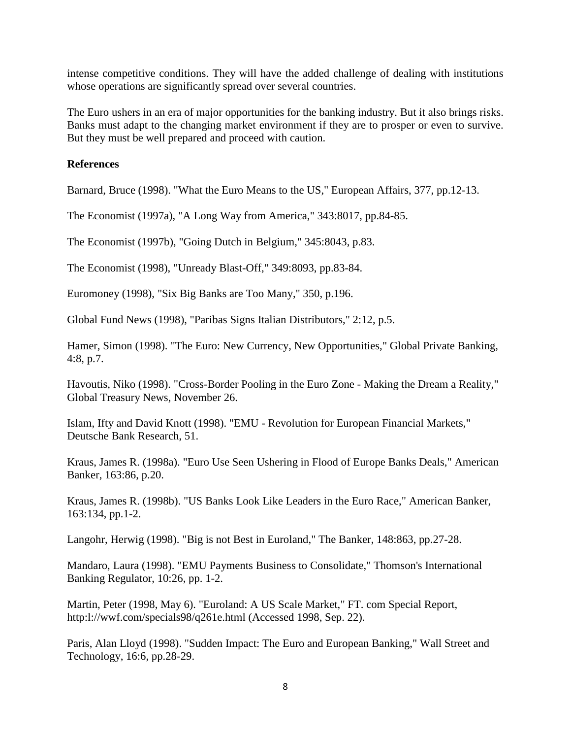intense competitive conditions. They will have the added challenge of dealing with institutions whose operations are significantly spread over several countries.

The Euro ushers in an era of major opportunities for the banking industry. But it also brings risks. Banks must adapt to the changing market environment if they are to prosper or even to survive. But they must be well prepared and proceed with caution.

## **References**

Barnard, Bruce (1998). "What the Euro Means to the US," European Affairs, 377, pp.12-13.

The Economist (1997a), "A Long Way from America," 343:8017, pp.84-85.

The Economist (1997b), "Going Dutch in Belgium," 345:8043, p.83.

The Economist (1998), "Unready Blast-Off," 349:8093, pp.83-84.

Euromoney (1998), "Six Big Banks are Too Many," 350, p.196.

Global Fund News (1998), "Paribas Signs Italian Distributors," 2:12, p.5.

Hamer, Simon (1998). "The Euro: New Currency, New Opportunities," Global Private Banking, 4:8, p.7.

Havoutis, Niko (1998). "Cross-Border Pooling in the Euro Zone - Making the Dream a Reality," Global Treasury News, November 26.

Islam, Ifty and David Knott (1998). "EMU - Revolution for European Financial Markets," Deutsche Bank Research, 51.

Kraus, James R. (1998a). "Euro Use Seen Ushering in Flood of Europe Banks Deals," American Banker, 163:86, p.20.

Kraus, James R. (1998b). "US Banks Look Like Leaders in the Euro Race," American Banker, 163:134, pp.1-2.

Langohr, Herwig (1998). "Big is not Best in Euroland," The Banker, 148:863, pp.27-28.

Mandaro, Laura (1998). "EMU Payments Business to Consolidate," Thomson's International Banking Regulator, 10:26, pp. 1-2.

Martin, Peter (1998, May 6). "Euroland: A US Scale Market," FT. com Special Report, http:l://wwf.com/specials98/q261e.html (Accessed 1998, Sep. 22).

Paris, Alan Lloyd (1998). "Sudden Impact: The Euro and European Banking," Wall Street and Technology, 16:6, pp.28-29.